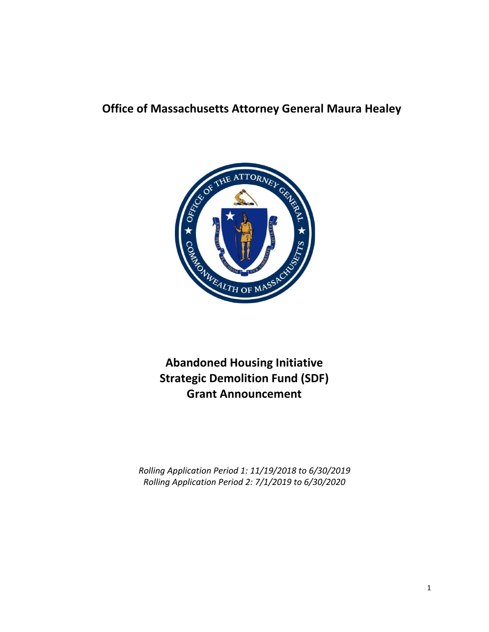## **Office of Massachusetts Attorney General Maura Healey**



**Abandoned Housing Initiative Strategic Demolition Fund (SDF) Grant Announcement**

*Rolling Application Period 1: 11/19/2018 to 6/30/2019 Rolling Application Period 2: 7/1/2019 to 6/30/2020*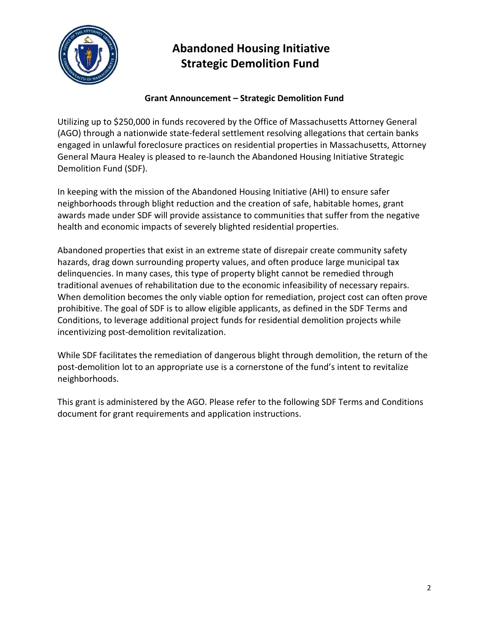

### **Grant Announcement – Strategic Demolition Fund**

Utilizing up to \$250,000 in funds recovered by the Office of Massachusetts Attorney General (AGO) through a nationwide state-federal settlement resolving allegations that certain banks engaged in unlawful foreclosure practices on residential properties in Massachusetts, Attorney General Maura Healey is pleased to re-launch the Abandoned Housing Initiative Strategic Demolition Fund (SDF).

In keeping with the mission of the Abandoned Housing Initiative (AHI) to ensure safer neighborhoods through blight reduction and the creation of safe, habitable homes, grant awards made under SDF will provide assistance to communities that suffer from the negative health and economic impacts of severely blighted residential properties.

Abandoned properties that exist in an extreme state of disrepair create community safety hazards, drag down surrounding property values, and often produce large municipal tax delinquencies. In many cases, this type of property blight cannot be remedied through traditional avenues of rehabilitation due to the economic infeasibility of necessary repairs. When demolition becomes the only viable option for remediation, project cost can often prove prohibitive. The goal of SDF is to allow eligible applicants, as defined in the SDF Terms and Conditions, to leverage additional project funds for residential demolition projects while incentivizing post-demolition revitalization.

While SDF facilitates the remediation of dangerous blight through demolition, the return of the post-demolition lot to an appropriate use is a cornerstone of the fund's intent to revitalize neighborhoods.

This grant is administered by the AGO. Please refer to the following SDF Terms and Conditions document for grant requirements and application instructions.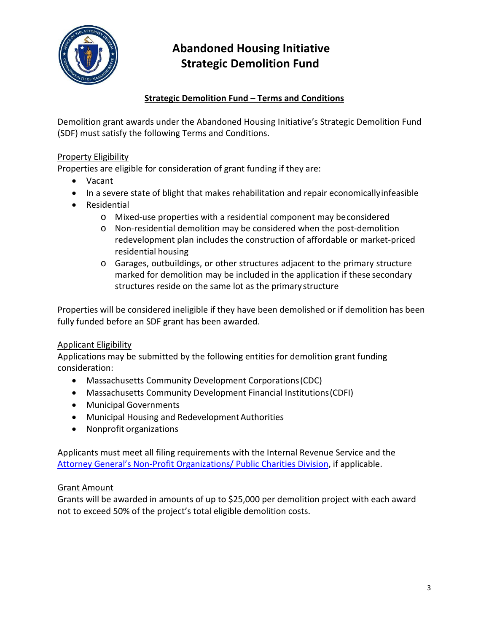

### **Strategic Demolition Fund – Terms and Conditions**

Demolition grant awards under the Abandoned Housing Initiative's Strategic Demolition Fund (SDF) must satisfy the following Terms and Conditions.

### Property Eligibility

Properties are eligible for consideration of grant funding if they are:

- Vacant
- In a severe state of blight that makes rehabilitation and repair economicallyinfeasible
- Residential
	- o Mixed-use properties with a residential component may beconsidered
	- o Non-residential demolition may be considered when the post-demolition redevelopment plan includes the construction of affordable or market-priced residential housing
	- o Garages, outbuildings, or other structures adjacent to the primary structure marked for demolition may be included in the application if these secondary structures reside on the same lot as the primary structure

Properties will be considered ineligible if they have been demolished or if demolition has been fully funded before an SDF grant has been awarded.

### Applicant Eligibility

Applications may be submitted by the following entities for demolition grant funding consideration:

- Massachusetts Community Development Corporations(CDC)
- Massachusetts Community Development Financial Institutions(CDFI)
- Municipal Governments
- Municipal Housing and Redevelopment Authorities
- Nonprofit organizations

Applicants must meet all filing requirements with the Internal Revenue Service and the [Attorney General's Non-Profit Organizations/ Public Charities Division,](http://www.mass.gov/ago/bureaus/business-and-labor/the-non-profit-organizations-public-charities-division/) if applicable.

### Grant Amount

Grants will be awarded in amounts of up to \$25,000 per demolition project with each award not to exceed 50% of the project's total eligible demolition costs.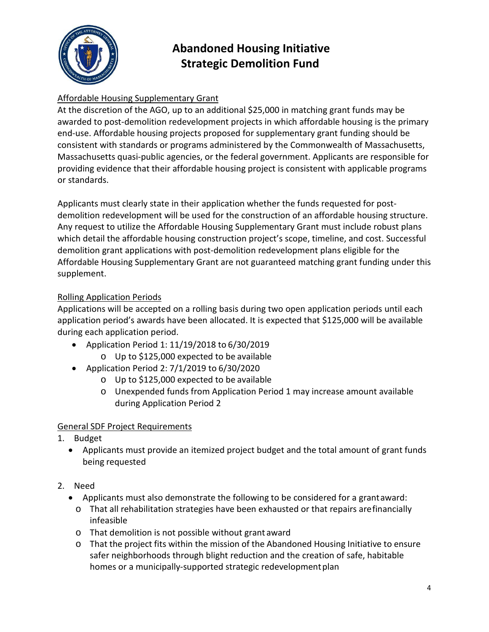

## Affordable Housing Supplementary Grant

At the discretion of the AGO, up to an additional \$25,000 in matching grant funds may be awarded to post-demolition redevelopment projects in which affordable housing is the primary end-use. Affordable housing projects proposed for supplementary grant funding should be consistent with standards or programs administered by the Commonwealth of Massachusetts, Massachusetts quasi-public agencies, or the federal government. Applicants are responsible for providing evidence that their affordable housing project is consistent with applicable programs or standards.

Applicants must clearly state in their application whether the funds requested for postdemolition redevelopment will be used for the construction of an affordable housing structure. Any request to utilize the Affordable Housing Supplementary Grant must include robust plans which detail the affordable housing construction project's scope, timeline, and cost. Successful demolition grant applications with post-demolition redevelopment plans eligible for the Affordable Housing Supplementary Grant are not guaranteed matching grant funding under this supplement.

### Rolling Application Periods

Applications will be accepted on a rolling basis during two open application periods until each application period's awards have been allocated. It is expected that \$125,000 will be available during each application period.

- Application Period 1: 11/19/2018 to 6/30/2019
	- o Up to \$125,000 expected to be available
- Application Period 2: 7/1/2019 to 6/30/2020
	- o Up to \$125,000 expected to be available
	- o Unexpended funds from Application Period 1 may increase amount available during Application Period 2

### General SDF Project Requirements

- 1. Budget
	- Applicants must provide an itemized project budget and the total amount of grant funds being requested
- 2. Need
	- Applicants must also demonstrate the following to be considered for a grantaward:
		- o That all rehabilitation strategies have been exhausted or that repairs arefinancially infeasible
		- o That demolition is not possible without grant award
		- o That the project fits within the mission of the Abandoned Housing Initiative to ensure safer neighborhoods through blight reduction and the creation of safe, habitable homes or a municipally-supported strategic redevelopment plan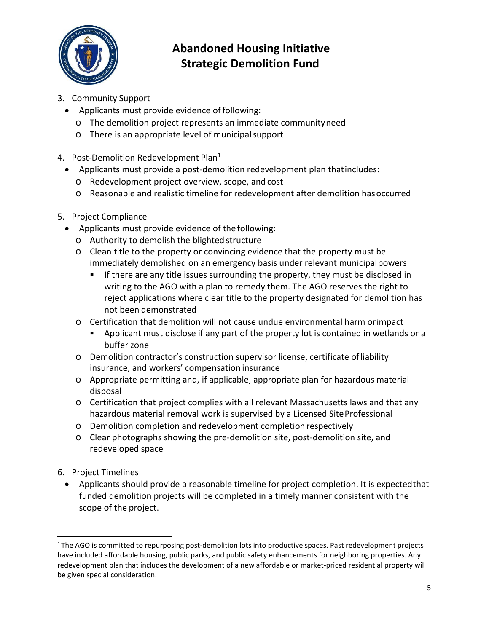

- 3. Community Support
	- Applicants must provide evidence of following:
		- o The demolition project represents an immediate communityneed
		- o There is an appropriate level of municipalsupport
- 4. Post-Demolition Redevelopment Plan<sup>1</sup>
	- Applicants must provide a post-demolition redevelopment plan thatincludes:
		- o Redevelopment project overview, scope, and cost
		- o Reasonable and realistic timeline for redevelopment after demolition hasoccurred
- 5. Project Compliance
	- Applicants must provide evidence of the following:
		- o Authority to demolish the blighted structure
		- o Clean title to the property or convincing evidence that the property must be immediately demolished on an emergency basis under relevant municipalpowers
			- If there are any title issues surrounding the property, they must be disclosed in writing to the AGO with a plan to remedy them. The AGO reserves the right to reject applications where clear title to the property designated for demolition has not been demonstrated
		- o Certification that demolition will not cause undue environmental harm orimpact
			- Applicant must disclose if any part of the property lot is contained in wetlands or a buffer zone
		- o Demolition contractor's construction supervisor license, certificate ofliability insurance, and workers' compensation insurance
		- o Appropriate permitting and, if applicable, appropriate plan for hazardous material disposal
		- o Certification that project complies with all relevant Massachusetts laws and that any hazardous material removal work is supervised by a Licensed SiteProfessional
		- o Demolition completion and redevelopment completion respectively
		- o Clear photographs showing the pre-demolition site, post-demolition site, and redeveloped space
- 6. Project Timelines
	- Applicants should provide a reasonable timeline for project completion. It is expectedthat funded demolition projects will be completed in a timely manner consistent with the scope of the project.

<sup>&</sup>lt;sup>1</sup>The AGO is committed to repurposing post-demolition lots into productive spaces. Past redevelopment projects have included affordable housing, public parks, and public safety enhancements for neighboring properties. Any redevelopment plan that includes the development of a new affordable or market-priced residential property will be given special consideration.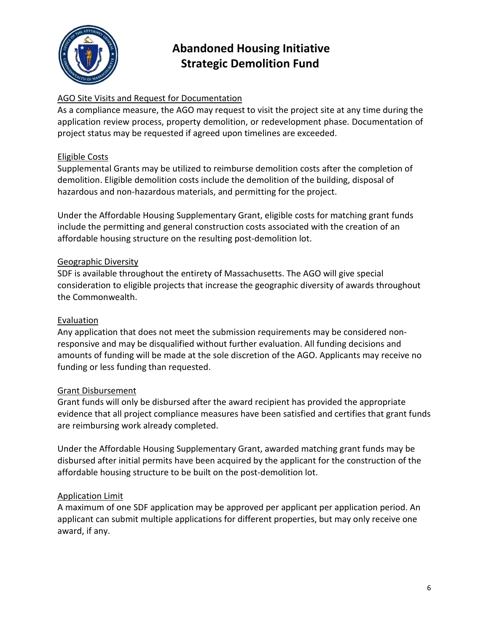

### AGO Site Visits and Request for Documentation

As a compliance measure, the AGO may request to visit the project site at any time during the application review process, property demolition, or redevelopment phase. Documentation of project status may be requested if agreed upon timelines are exceeded.

### Eligible Costs

Supplemental Grants may be utilized to reimburse demolition costs after the completion of demolition. Eligible demolition costs include the demolition of the building, disposal of hazardous and non-hazardous materials, and permitting for the project.

Under the Affordable Housing Supplementary Grant, eligible costs for matching grant funds include the permitting and general construction costs associated with the creation of an affordable housing structure on the resulting post-demolition lot.

#### Geographic Diversity

SDF is available throughout the entirety of Massachusetts. The AGO will give special consideration to eligible projects that increase the geographic diversity of awards throughout the Commonwealth.

#### Evaluation

Any application that does not meet the submission requirements may be considered nonresponsive and may be disqualified without further evaluation. All funding decisions and amounts of funding will be made at the sole discretion of the AGO. Applicants may receive no funding or less funding than requested.

#### Grant Disbursement

Grant funds will only be disbursed after the award recipient has provided the appropriate evidence that all project compliance measures have been satisfied and certifies that grant funds are reimbursing work already completed.

Under the Affordable Housing Supplementary Grant, awarded matching grant funds may be disbursed after initial permits have been acquired by the applicant for the construction of the affordable housing structure to be built on the post-demolition lot.

#### Application Limit

A maximum of one SDF application may be approved per applicant per application period. An applicant can submit multiple applications for different properties, but may only receive one award, if any.